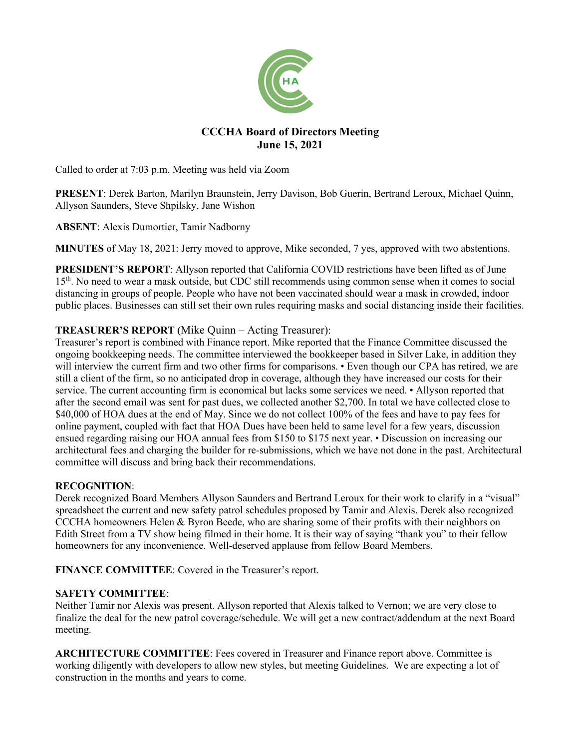

# **CCCHA Board of Directors Meeting June 15, 2021**

Called to order at 7:03 p.m. Meeting was held via Zoom

**PRESENT**: Derek Barton, Marilyn Braunstein, Jerry Davison, Bob Guerin, Bertrand Leroux, Michael Quinn, Allyson Saunders, Steve Shpilsky, Jane Wishon

**ABSENT**: Alexis Dumortier, Tamir Nadborny

**MINUTES** of May 18, 2021: Jerry moved to approve, Mike seconded, 7 yes, approved with two abstentions.

**PRESIDENT'S REPORT**: Allyson reported that California COVID restrictions have been lifted as of June 15<sup>th</sup>. No need to wear a mask outside, but CDC still recommends using common sense when it comes to social distancing in groups of people. People who have not been vaccinated should wear a mask in crowded, indoor public places. Businesses can still set their own rules requiring masks and social distancing inside their facilities.

## **TREASURER'S REPORT (**Mike Quinn – Acting Treasurer):

Treasurer's report is combined with Finance report. Mike reported that the Finance Committee discussed the ongoing bookkeeping needs. The committee interviewed the bookkeeper based in Silver Lake, in addition they will interview the current firm and two other firms for comparisons. • Even though our CPA has retired, we are still a client of the firm, so no anticipated drop in coverage, although they have increased our costs for their service. The current accounting firm is economical but lacks some services we need. • Allyson reported that after the second email was sent for past dues, we collected another \$2,700. In total we have collected close to \$40,000 of HOA dues at the end of May. Since we do not collect 100% of the fees and have to pay fees for online payment, coupled with fact that HOA Dues have been held to same level for a few years, discussion ensued regarding raising our HOA annual fees from \$150 to \$175 next year. • Discussion on increasing our architectural fees and charging the builder for re-submissions, which we have not done in the past. Architectural committee will discuss and bring back their recommendations.

## **RECOGNITION**:

Derek recognized Board Members Allyson Saunders and Bertrand Leroux for their work to clarify in a "visual" spreadsheet the current and new safety patrol schedules proposed by Tamir and Alexis. Derek also recognized CCCHA homeowners Helen & Byron Beede, who are sharing some of their profits with their neighbors on Edith Street from a TV show being filmed in their home. It is their way of saying "thank you" to their fellow homeowners for any inconvenience. Well-deserved applause from fellow Board Members.

**FINANCE COMMITTEE**: Covered in the Treasurer's report.

## **SAFETY COMMITTEE**:

Neither Tamir nor Alexis was present. Allyson reported that Alexis talked to Vernon; we are very close to finalize the deal for the new patrol coverage/schedule. We will get a new contract/addendum at the next Board meeting.

**ARCHITECTURE COMMITTEE**: Fees covered in Treasurer and Finance report above. Committee is working diligently with developers to allow new styles, but meeting Guidelines. We are expecting a lot of construction in the months and years to come.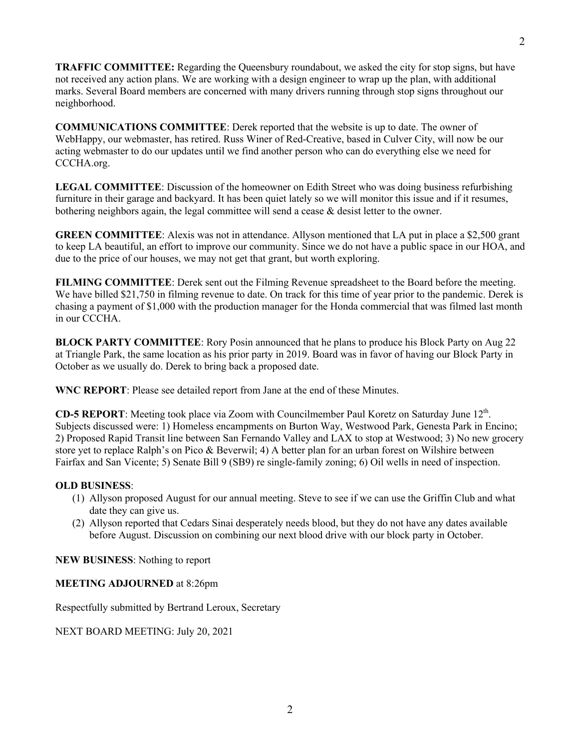**TRAFFIC COMMITTEE:** Regarding the Queensbury roundabout, we asked the city for stop signs, but have not received any action plans. We are working with a design engineer to wrap up the plan, with additional marks. Several Board members are concerned with many drivers running through stop signs throughout our neighborhood.

**COMMUNICATIONS COMMITTEE**: Derek reported that the website is up to date. The owner of WebHappy, our webmaster, has retired. Russ Winer of Red-Creative, based in Culver City, will now be our acting webmaster to do our updates until we find another person who can do everything else we need for CCCHA.org.

**LEGAL COMMITTEE**: Discussion of the homeowner on Edith Street who was doing business refurbishing furniture in their garage and backyard. It has been quiet lately so we will monitor this issue and if it resumes, bothering neighbors again, the legal committee will send a cease & desist letter to the owner.

**GREEN COMMITTEE**: Alexis was not in attendance. Allyson mentioned that LA put in place a \$2,500 grant to keep LA beautiful, an effort to improve our community. Since we do not have a public space in our HOA, and due to the price of our houses, we may not get that grant, but worth exploring.

**FILMING COMMITTEE**: Derek sent out the Filming Revenue spreadsheet to the Board before the meeting. We have billed \$21,750 in filming revenue to date. On track for this time of year prior to the pandemic. Derek is chasing a payment of \$1,000 with the production manager for the Honda commercial that was filmed last month in our CCCHA.

**BLOCK PARTY COMMITTEE**: Rory Posin announced that he plans to produce his Block Party on Aug 22 at Triangle Park, the same location as his prior party in 2019. Board was in favor of having our Block Party in October as we usually do. Derek to bring back a proposed date.

**WNC REPORT**: Please see detailed report from Jane at the end of these Minutes.

**CD-5 REPORT**: Meeting took place via Zoom with Councilmember Paul Koretz on Saturday June 12th. Subjects discussed were: 1) Homeless encampments on Burton Way, Westwood Park, Genesta Park in Encino; 2) Proposed Rapid Transit line between San Fernando Valley and LAX to stop at Westwood; 3) No new grocery store yet to replace Ralph's on Pico & Beverwil; 4) A better plan for an urban forest on Wilshire between Fairfax and San Vicente; 5) Senate Bill 9 (SB9) re single-family zoning; 6) Oil wells in need of inspection.

## **OLD BUSINESS**:

- (1) Allyson proposed August for our annual meeting. Steve to see if we can use the Griffin Club and what date they can give us.
- (2) Allyson reported that Cedars Sinai desperately needs blood, but they do not have any dates available before August. Discussion on combining our next blood drive with our block party in October.

**NEW BUSINESS**: Nothing to report

## **MEETING ADJOURNED** at 8:26pm

Respectfully submitted by Bertrand Leroux, Secretary

NEXT BOARD MEETING: July 20, 2021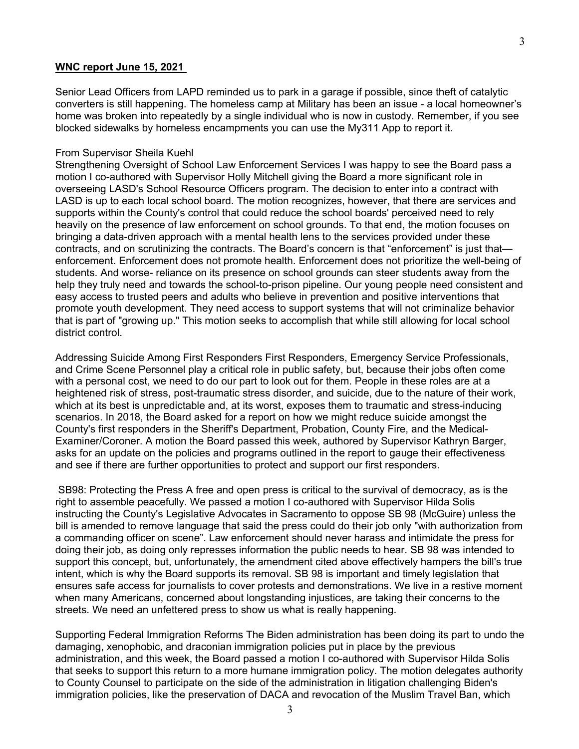## **WNC report June 15, 2021**

Senior Lead Officers from LAPD reminded us to park in a garage if possible, since theft of catalytic converters is still happening. The homeless camp at Military has been an issue - a local homeowner's home was broken into repeatedly by a single individual who is now in custody. Remember, if you see blocked sidewalks by homeless encampments you can use the My311 App to report it.

### From Supervisor Sheila Kuehl

Strengthening Oversight of School Law Enforcement Services I was happy to see the Board pass a motion I co-authored with Supervisor Holly Mitchell giving the Board a more significant role in overseeing LASD's School Resource Officers program. The decision to enter into a contract with LASD is up to each local school board. The motion recognizes, however, that there are services and supports within the County's control that could reduce the school boards' perceived need to rely heavily on the presence of law enforcement on school grounds. To that end, the motion focuses on bringing a data-driven approach with a mental health lens to the services provided under these contracts, and on scrutinizing the contracts. The Board's concern is that "enforcement" is just that enforcement. Enforcement does not promote health. Enforcement does not prioritize the well-being of students. And worse- reliance on its presence on school grounds can steer students away from the help they truly need and towards the school-to-prison pipeline. Our young people need consistent and easy access to trusted peers and adults who believe in prevention and positive interventions that promote youth development. They need access to support systems that will not criminalize behavior that is part of "growing up." This motion seeks to accomplish that while still allowing for local school district control.

Addressing Suicide Among First Responders First Responders, Emergency Service Professionals, and Crime Scene Personnel play a critical role in public safety, but, because their jobs often come with a personal cost, we need to do our part to look out for them. People in these roles are at a heightened risk of stress, post-traumatic stress disorder, and suicide, due to the nature of their work, which at its best is unpredictable and, at its worst, exposes them to traumatic and stress-inducing scenarios. In 2018, the Board asked for a report on how we might reduce suicide amongst the County's first responders in the Sheriff's Department, Probation, County Fire, and the Medical-Examiner/Coroner. A motion the Board passed this week, authored by Supervisor Kathryn Barger, asks for an update on the policies and programs outlined in the report to gauge their effectiveness and see if there are further opportunities to protect and support our first responders.

SB98: Protecting the Press A free and open press is critical to the survival of democracy, as is the right to assemble peacefully. We passed a motion I co-authored with Supervisor Hilda Solis instructing the County's Legislative Advocates in Sacramento to oppose SB 98 (McGuire) unless the bill is amended to remove language that said the press could do their job only "with authorization from a commanding officer on scene". Law enforcement should never harass and intimidate the press for doing their job, as doing only represses information the public needs to hear. SB 98 was intended to support this concept, but, unfortunately, the amendment cited above effectively hampers the bill's true intent, which is why the Board supports its removal. SB 98 is important and timely legislation that ensures safe access for journalists to cover protests and demonstrations. We live in a restive moment when many Americans, concerned about longstanding injustices, are taking their concerns to the streets. We need an unfettered press to show us what is really happening.

Supporting Federal Immigration Reforms The Biden administration has been doing its part to undo the damaging, xenophobic, and draconian immigration policies put in place by the previous administration, and this week, the Board passed a motion I co-authored with Supervisor Hilda Solis that seeks to support this return to a more humane immigration policy. The motion delegates authority to County Counsel to participate on the side of the administration in litigation challenging Biden's immigration policies, like the preservation of DACA and revocation of the Muslim Travel Ban, which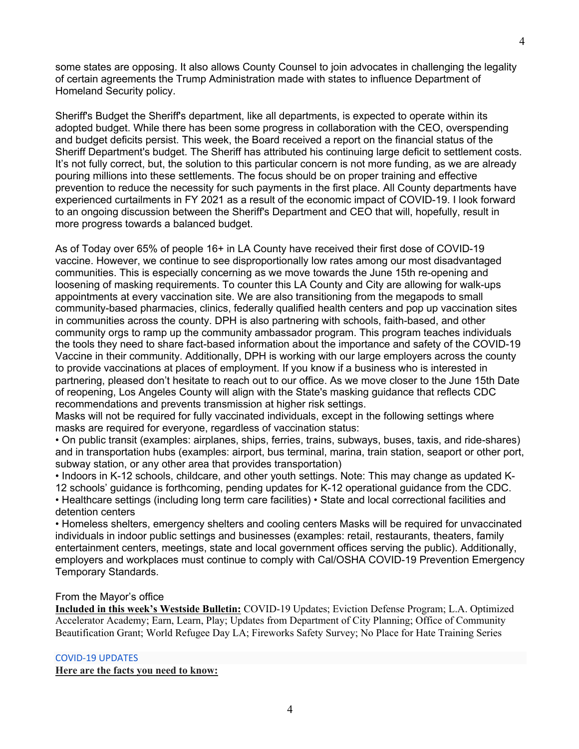some states are opposing. It also allows County Counsel to join advocates in challenging the legality of certain agreements the Trump Administration made with states to influence Department of Homeland Security policy.

Sheriff's Budget the Sheriff's department, like all departments, is expected to operate within its adopted budget. While there has been some progress in collaboration with the CEO, overspending and budget deficits persist. This week, the Board received a report on the financial status of the Sheriff Department's budget. The Sheriff has attributed his continuing large deficit to settlement costs. It's not fully correct, but, the solution to this particular concern is not more funding, as we are already pouring millions into these settlements. The focus should be on proper training and effective prevention to reduce the necessity for such payments in the first place. All County departments have experienced curtailments in FY 2021 as a result of the economic impact of COVID-19. I look forward to an ongoing discussion between the Sheriff's Department and CEO that will, hopefully, result in more progress towards a balanced budget.

As of Today over 65% of people 16+ in LA County have received their first dose of COVID-19 vaccine. However, we continue to see disproportionally low rates among our most disadvantaged communities. This is especially concerning as we move towards the June 15th re-opening and loosening of masking requirements. To counter this LA County and City are allowing for walk-ups appointments at every vaccination site. We are also transitioning from the megapods to small community-based pharmacies, clinics, federally qualified health centers and pop up vaccination sites in communities across the county. DPH is also partnering with schools, faith-based, and other community orgs to ramp up the community ambassador program. This program teaches individuals the tools they need to share fact-based information about the importance and safety of the COVID-19 Vaccine in their community. Additionally, DPH is working with our large employers across the county to provide vaccinations at places of employment. If you know if a business who is interested in partnering, pleased don't hesitate to reach out to our office. As we move closer to the June 15th Date of reopening, Los Angeles County will align with the State's masking guidance that reflects CDC recommendations and prevents transmission at higher risk settings.

Masks will not be required for fully vaccinated individuals, except in the following settings where masks are required for everyone, regardless of vaccination status:

• On public transit (examples: airplanes, ships, ferries, trains, subways, buses, taxis, and ride-shares) and in transportation hubs (examples: airport, bus terminal, marina, train station, seaport or other port, subway station, or any other area that provides transportation)

• Indoors in K-12 schools, childcare, and other youth settings. Note: This may change as updated K-12 schools' guidance is forthcoming, pending updates for K-12 operational guidance from the CDC. • Healthcare settings (including long term care facilities) • State and local correctional facilities and detention centers

• Homeless shelters, emergency shelters and cooling centers Masks will be required for unvaccinated individuals in indoor public settings and businesses (examples: retail, restaurants, theaters, family entertainment centers, meetings, state and local government offices serving the public). Additionally, employers and workplaces must continue to comply with Cal/OSHA COVID-19 Prevention Emergency Temporary Standards.

## From the Mayor's office

**Included in this week's Westside Bulletin:** COVID-19 Updates; Eviction Defense Program; L.A. Optimized Accelerator Academy; Earn, Learn, Play; Updates from Department of City Planning; Office of Community Beautification Grant; World Refugee Day LA; Fireworks Safety Survey; No Place for Hate Training Series

## COVID-19 UPDATES

**Here are the facts you need to know:**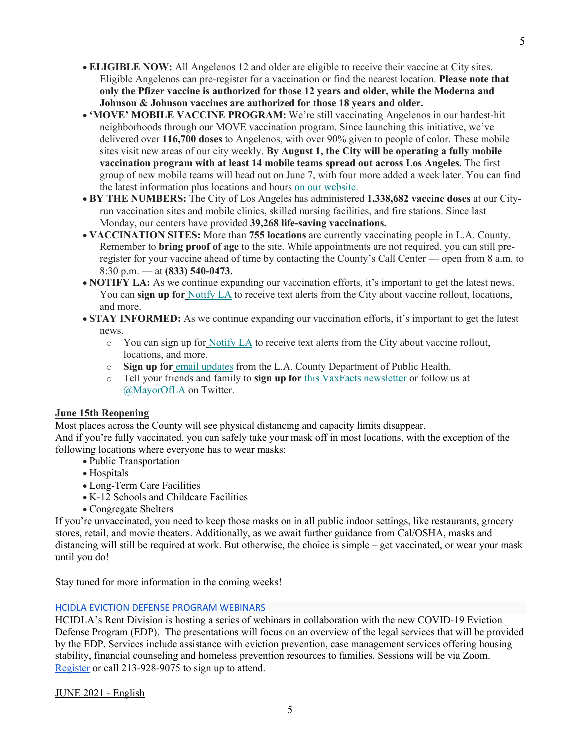- **ELIGIBLE NOW:** All Angelenos 12 and older are eligible to receive their vaccine at City sites. Eligible Angelenos can pre-register for a vaccination or find the nearest location. **Please note that only the Pfizer vaccine is authorized for those 12 years and older, while the Moderna and Johnson & Johnson vaccines are authorized for those 18 years and older.**
- **MOVE' MOBILE VACCINE PROGRAM:** We're still vaccinating Angelenos in our hardest-hit neighborhoods through our MOVE vaccination program. Since launching this initiative, we've delivered over **116,700 doses** to Angelenos, with over 90% given to people of color. These mobile sites visit new areas of our city weekly. **By August 1, the City will be operating a fully mobile vaccination program with at least 14 mobile teams spread out across Los Angeles.** The first group of new mobile teams will head out on June 7, with four more added a week later. You can find the latest information plus locations and hours on our website.
- **BY THE NUMBERS:** The City of Los Angeles has administered **1,338,682 vaccine doses** at our Cityrun vaccination sites and mobile clinics, skilled nursing facilities, and fire stations. Since last Monday, our centers have provided **39,268 life-saving vaccinations.**
- **VACCINATION SITES:** More than **755 locations** are currently vaccinating people in L.A. County. Remember to **bring proof of age** to the site. While appointments are not required, you can still preregister for your vaccine ahead of time by contacting the County's Call Center –– open from 8 a.m. to 8:30 p.m. –– at **(833) 540-0473.**
- **NOTIFY LA:** As we continue expanding our vaccination efforts, it's important to get the latest news. You can **sign up for** Notify LA to receive text alerts from the City about vaccine rollout, locations, and more.
- **STAY INFORMED:** As we continue expanding our vaccination efforts, it's important to get the latest news.
	- o You can sign up for Notify LA to receive text alerts from the City about vaccine rollout, locations, and more.
	- **Sign up for** email updates from the L.A. County Department of Public Health.
	- o Tell your friends and family to **sign up for** this VaxFacts newsletter or follow us at @MayorOfLA on Twitter.

## **June 15th Reopening**

Most places across the County will see physical distancing and capacity limits disappear.

And if you're fully vaccinated, you can safely take your mask off in most locations, with the exception of the following locations where everyone has to wear masks:

- Public Transportation
- Hospitals
- Long-Term Care Facilities
- K-12 Schools and Childcare Facilities
- Congregate Shelters

If you're unvaccinated, you need to keep those masks on in all public indoor settings, like restaurants, grocery stores, retail, and movie theaters. Additionally, as we await further guidance from Cal/OSHA, masks and distancing will still be required at work. But otherwise, the choice is simple – get vaccinated, or wear your mask until you do!

Stay tuned for more information in the coming weeks!

## HCIDLA EVICTION DEFENSE PROGRAM WEBINARS

HCIDLA's Rent Division is hosting a series of webinars in collaboration with the new COVID-19 Eviction Defense Program (EDP). The presentations will focus on an overview of the legal services that will be provided by the EDP. Services include assistance with eviction prevention, case management services offering housing stability, financial counseling and homeless prevention resources to families. Sessions will be via Zoom. Register or call 213-928-9075 to sign up to attend.

JUNE 2021 - English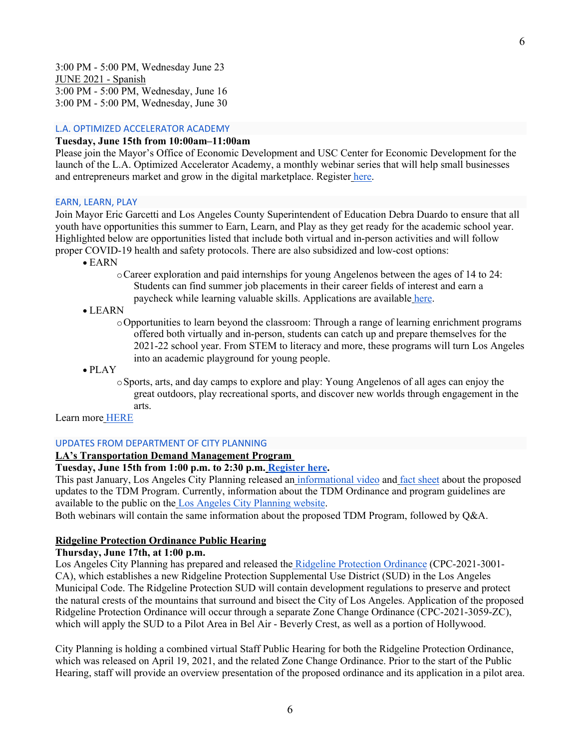3:00 PM - 5:00 PM, Wednesday June 23 JUNE 2021 - Spanish 3:00 PM - 5:00 PM, Wednesday, June 16 3:00 PM - 5:00 PM, Wednesday, June 30

#### L.A. OPTIMIZED ACCELERATOR ACADEMY

### **Tuesday, June 15th from 10:00am–11:00am**

Please join the Mayor's Office of Economic Development and USC Center for Economic Development for the launch of the L.A. Optimized Accelerator Academy, a monthly webinar series that will help small businesses and entrepreneurs market and grow in the digital marketplace. Register here.

#### EARN, LEARN, PLAY

Join Mayor Eric Garcetti and Los Angeles County Superintendent of Education Debra Duardo to ensure that all youth have opportunities this summer to Earn, Learn, and Play as they get ready for the academic school year. Highlighted below are opportunities listed that include both virtual and in-person activities and will follow proper COVID-19 health and safety protocols. There are also subsidized and low-cost options:

- EARN
	- oCareer exploration and paid internships for young Angelenos between the ages of 14 to 24: Students can find summer job placements in their career fields of interest and earn a paycheck while learning valuable skills. Applications are available here.

#### • LEARN

oOpportunities to learn beyond the classroom: Through a range of learning enrichment programs offered both virtually and in-person, students can catch up and prepare themselves for the 2021-22 school year. From STEM to literacy and more, these programs will turn Los Angeles into an academic playground for young people.

• PLAY

oSports, arts, and day camps to explore and play: Young Angelenos of all ages can enjoy the great outdoors, play recreational sports, and discover new worlds through engagement in the arts.

Learn more HERE

#### UPDATES FROM DEPARTMENT OF CITY PLANNING

#### **LA's Transportation Demand Management Program**

## **Tuesday, June 15th from 1:00 p.m. to 2:30 p.m. Register here.**

This past January, Los Angeles City Planning released an informational video and fact sheet about the proposed updates to the TDM Program. Currently, information about the TDM Ordinance and program guidelines are available to the public on the Los Angeles City Planning website.

Both webinars will contain the same information about the proposed TDM Program, followed by Q&A.

## **Ridgeline Protection Ordinance Public Hearing**

#### **Thursday, June 17th, at 1:00 p.m.**

Los Angeles City Planning has prepared and released the Ridgeline Protection Ordinance (CPC-2021-3001- CA), which establishes a new Ridgeline Protection Supplemental Use District (SUD) in the Los Angeles Municipal Code. The Ridgeline Protection SUD will contain development regulations to preserve and protect the natural crests of the mountains that surround and bisect the City of Los Angeles. Application of the proposed Ridgeline Protection Ordinance will occur through a separate Zone Change Ordinance (CPC-2021-3059-ZC), which will apply the SUD to a Pilot Area in Bel Air - Beverly Crest, as well as a portion of Hollywood.

City Planning is holding a combined virtual Staff Public Hearing for both the Ridgeline Protection Ordinance, which was released on April 19, 2021, and the related Zone Change Ordinance. Prior to the start of the Public Hearing, staff will provide an overview presentation of the proposed ordinance and its application in a pilot area.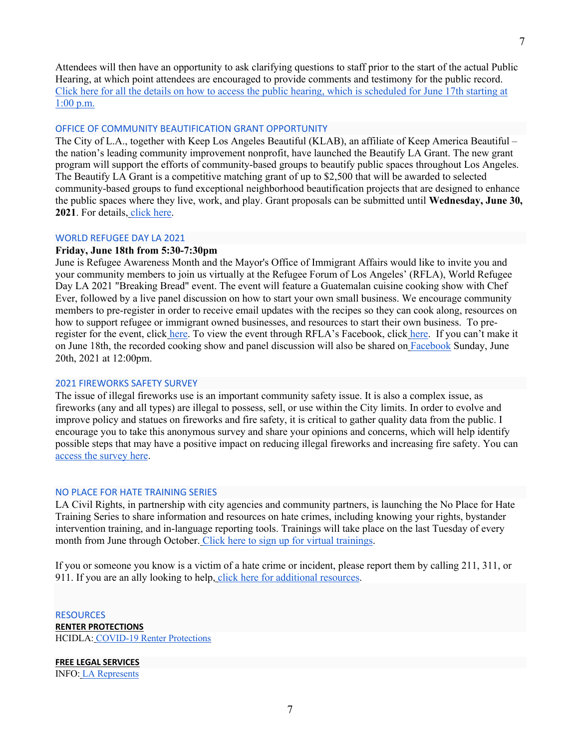7

Attendees will then have an opportunity to ask clarifying questions to staff prior to the start of the actual Public Hearing, at which point attendees are encouraged to provide comments and testimony for the public record. Click here for all the details on how to access the public hearing, which is scheduled for June 17th starting at 1:00 p.m.

## OFFICE OF COMMUNITY BEAUTIFICATION GRANT OPPORTUNITY

The City of L.A., together with Keep Los Angeles Beautiful (KLAB), an affiliate of Keep America Beautiful – the nation's leading community improvement nonprofit, have launched the Beautify LA Grant. The new grant program will support the efforts of community-based groups to beautify public spaces throughout Los Angeles. The Beautify LA Grant is a competitive matching grant of up to \$2,500 that will be awarded to selected community-based groups to fund exceptional neighborhood beautification projects that are designed to enhance the public spaces where they live, work, and play. Grant proposals can be submitted until **Wednesday, June 30, 2021**. For details, click here.

### WORLD REFUGEE DAY LA 2021

## **Friday, June 18th from 5:30-7:30pm**

June is Refugee Awareness Month and the Mayor's Office of Immigrant Affairs would like to invite you and your community members to join us virtually at the Refugee Forum of Los Angeles' (RFLA), World Refugee Day LA 2021 "Breaking Bread" event. The event will feature a Guatemalan cuisine cooking show with Chef Ever, followed by a live panel discussion on how to start your own small business. We encourage community members to pre-register in order to receive email updates with the recipes so they can cook along, resources on how to support refugee or immigrant owned businesses, and resources to start their own business. To preregister for the event, click here. To view the event through RFLA's Facebook, click here. If you can't make it on June 18th, the recorded cooking show and panel discussion will also be shared on Facebook Sunday, June 20th, 2021 at 12:00pm.

#### 2021 FIREWORKS SAFETY SURVEY

The issue of illegal fireworks use is an important community safety issue. It is also a complex issue, as fireworks (any and all types) are illegal to possess, sell, or use within the City limits. In order to evolve and improve policy and statues on fireworks and fire safety, it is critical to gather quality data from the public. I encourage you to take this anonymous survey and share your opinions and concerns, which will help identify possible steps that may have a positive impact on reducing illegal fireworks and increasing fire safety. You can access the survey here.

#### NO PLACE FOR HATE TRAINING SERIES

LA Civil Rights, in partnership with city agencies and community partners, is launching the No Place for Hate Training Series to share information and resources on hate crimes, including knowing your rights, bystander intervention training, and in-language reporting tools. Trainings will take place on the last Tuesday of every month from June through October. Click here to sign up for virtual trainings.

If you or someone you know is a victim of a hate crime or incident, please report them by calling 211, 311, or 911. If you are an ally looking to help, click here for additional resources.

## RESOURCES **RENTER PROTECTIONS** HCIDLA: COVID-19 Renter Protections

**FREE LEGAL SERVICES** INFO: LA Represents